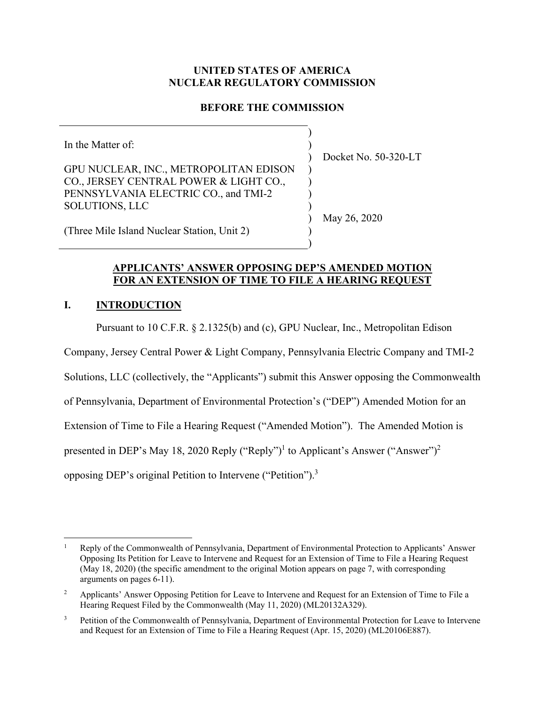# **UNITED STATES OF AMERICA NUCLEAR REGULATORY COMMISSION**

# **BEFORE THE COMMISSION**

) ) ) ) ) ) )

)

In the Matter of: GPU NUCLEAR, INC., METROPOLITAN EDISON CO., JERSEY CENTRAL POWER & LIGHT CO., PENNSYLVANIA ELECTRIC CO., and TMI-2 SOLUTIONS, LLC

Docket No. 50-320-LT

May 26, 2020

(Three Mile Island Nuclear Station, Unit 2) ) )

# **APPLICANTS' ANSWER OPPOSING DEP'S AMENDED MOTION FOR AN EXTENSION OF TIME TO FILE A HEARING REQUEST**

# **I. INTRODUCTION**

Pursuant to 10 C.F.R. § 2.1325(b) and (c), GPU Nuclear, Inc., Metropolitan Edison

Company, Jersey Central Power & Light Company, Pennsylvania Electric Company and TMI-2

Solutions, LLC (collectively, the "Applicants") submit this Answer opposing the Commonwealth

of Pennsylvania, Department of Environmental Protection's ("DEP") Amended Motion for an

Extension of Time to File a Hearing Request ("Amended Motion"). The Amended Motion is

presented in DEP's May 18, 2020 Reply ("Reply")<sup>1</sup> to Applicant's Answer ("Answer")<sup>2</sup>

opposing DEP's original Petition to Intervene ("Petition").<sup>3</sup>

 $\overline{a}$ 1 Reply of the Commonwealth of Pennsylvania, Department of Environmental Protection to Applicants' Answer Opposing Its Petition for Leave to Intervene and Request for an Extension of Time to File a Hearing Request (May 18, 2020) (the specific amendment to the original Motion appears on page 7, with corresponding arguments on pages 6-11).

<sup>2</sup> Applicants' Answer Opposing Petition for Leave to Intervene and Request for an Extension of Time to File a Hearing Request Filed by the Commonwealth (May 11, 2020) (ML20132A329).

<sup>3</sup> Petition of the Commonwealth of Pennsylvania, Department of Environmental Protection for Leave to Intervene and Request for an Extension of Time to File a Hearing Request (Apr. 15, 2020) (ML20106E887).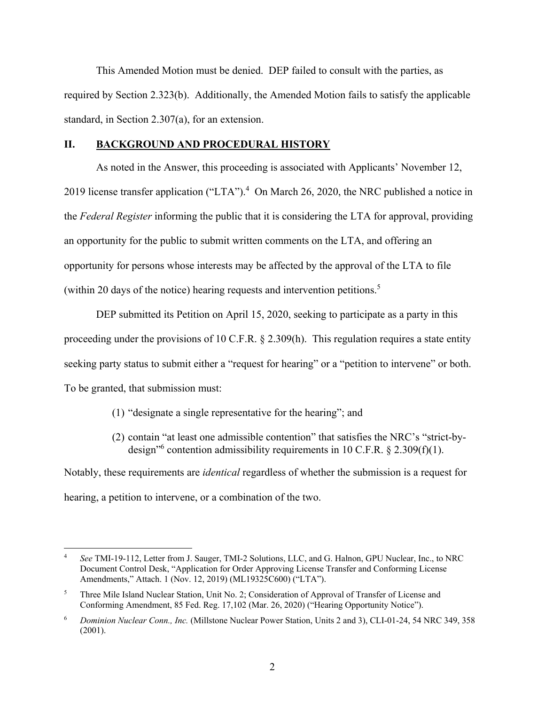This Amended Motion must be denied. DEP failed to consult with the parties, as required by Section 2.323(b). Additionally, the Amended Motion fails to satisfy the applicable standard, in Section 2.307(a), for an extension.

# **II. BACKGROUND AND PROCEDURAL HISTORY**

As noted in the Answer, this proceeding is associated with Applicants' November 12, 2019 license transfer application ("LTA").<sup>4</sup> On March 26, 2020, the NRC published a notice in the *Federal Register* informing the public that it is considering the LTA for approval, providing an opportunity for the public to submit written comments on the LTA, and offering an opportunity for persons whose interests may be affected by the approval of the LTA to file (within 20 days of the notice) hearing requests and intervention petitions.<sup>5</sup>

DEP submitted its Petition on April 15, 2020, seeking to participate as a party in this proceeding under the provisions of 10 C.F.R. § 2.309(h). This regulation requires a state entity seeking party status to submit either a "request for hearing" or a "petition to intervene" or both. To be granted, that submission must:

- (1) "designate a single representative for the hearing"; and
- (2) contain "at least one admissible contention" that satisfies the NRC's "strict-bydesign<sup>16</sup> contention admissibility requirements in 10 C.F.R.  $\S$  2.309(f)(1).

Notably, these requirements are *identical* regardless of whether the submission is a request for hearing, a petition to intervene, or a combination of the two.

<sup>4</sup> *See* TMI-19-112, Letter from J. Sauger, TMI-2 Solutions, LLC, and G. Halnon, GPU Nuclear, Inc., to NRC Document Control Desk, "Application for Order Approving License Transfer and Conforming License Amendments," Attach. 1 (Nov. 12, 2019) (ML19325C600) ("LTA").

<sup>5</sup> Three Mile Island Nuclear Station, Unit No. 2; Consideration of Approval of Transfer of License and Conforming Amendment, 85 Fed. Reg. 17,102 (Mar. 26, 2020) ("Hearing Opportunity Notice").

<sup>6</sup> *Dominion Nuclear Conn., Inc.* (Millstone Nuclear Power Station, Units 2 and 3), CLI-01-24, 54 NRC 349, 358 (2001).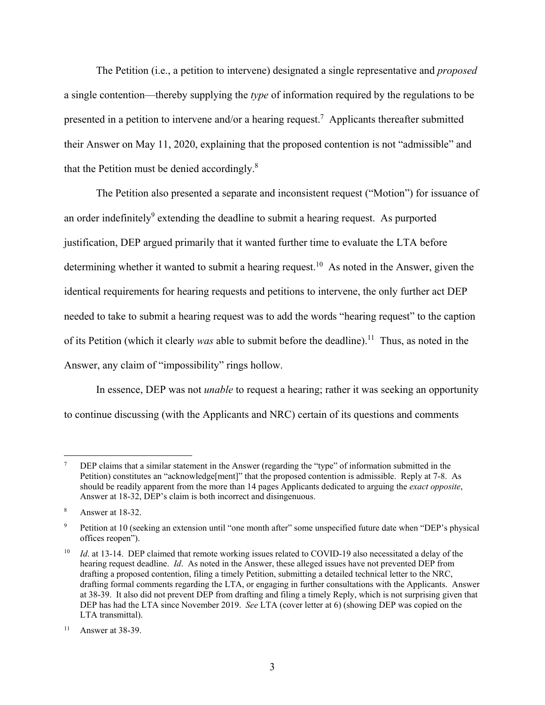The Petition (i.e., a petition to intervene) designated a single representative and *proposed* a single contention—thereby supplying the *type* of information required by the regulations to be presented in a petition to intervene and/or a hearing request.<sup>7</sup> Applicants thereafter submitted their Answer on May 11, 2020, explaining that the proposed contention is not "admissible" and that the Petition must be denied accordingly. $8$ 

The Petition also presented a separate and inconsistent request ("Motion") for issuance of an order indefinitely<sup>9</sup> extending the deadline to submit a hearing request. As purported justification, DEP argued primarily that it wanted further time to evaluate the LTA before determining whether it wanted to submit a hearing request.<sup>10</sup> As noted in the Answer, given the identical requirements for hearing requests and petitions to intervene, the only further act DEP needed to take to submit a hearing request was to add the words "hearing request" to the caption of its Petition (which it clearly *was* able to submit before the deadline).<sup>11</sup> Thus, as noted in the Answer, any claim of "impossibility" rings hollow.

In essence, DEP was not *unable* to request a hearing; rather it was seeking an opportunity to continue discussing (with the Applicants and NRC) certain of its questions and comments

<sup>7</sup> DEP claims that a similar statement in the Answer (regarding the "type" of information submitted in the Petition) constitutes an "acknowledge[ment]" that the proposed contention is admissible. Reply at 7-8. As should be readily apparent from the more than 14 pages Applicants dedicated to arguing the *exact opposite*, Answer at 18-32, DEP's claim is both incorrect and disingenuous.

<sup>8</sup> Answer at 18-32.

<sup>9</sup> Petition at 10 (seeking an extension until "one month after" some unspecified future date when "DEP's physical offices reopen").

Id. at 13-14. DEP claimed that remote working issues related to COVID-19 also necessitated a delay of the hearing request deadline. *Id*. As noted in the Answer, these alleged issues have not prevented DEP from drafting a proposed contention, filing a timely Petition, submitting a detailed technical letter to the NRC, drafting formal comments regarding the LTA, or engaging in further consultations with the Applicants. Answer at 38-39. It also did not prevent DEP from drafting and filing a timely Reply, which is not surprising given that DEP has had the LTA since November 2019. *See* LTA (cover letter at 6) (showing DEP was copied on the LTA transmittal).

 $11$  Answer at 38-39.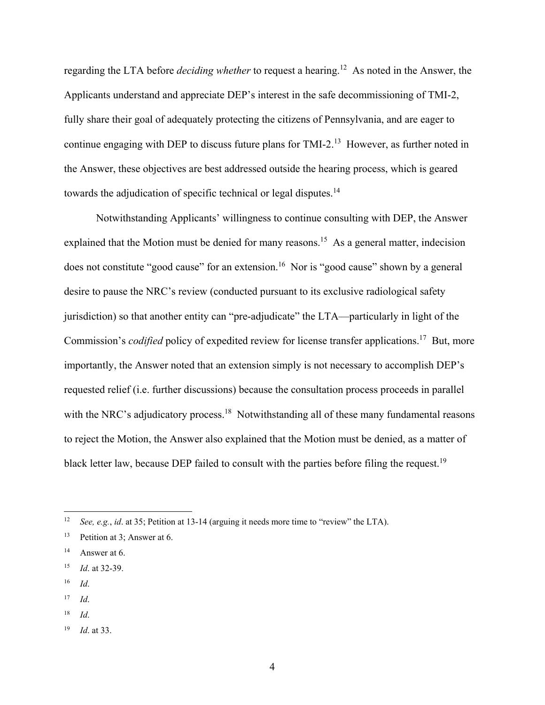regarding the LTA before *deciding whether* to request a hearing.12 As noted in the Answer, the Applicants understand and appreciate DEP's interest in the safe decommissioning of TMI-2, fully share their goal of adequately protecting the citizens of Pennsylvania, and are eager to continue engaging with DEP to discuss future plans for TMI-2.<sup>13</sup> However, as further noted in the Answer, these objectives are best addressed outside the hearing process, which is geared towards the adjudication of specific technical or legal disputes.<sup>14</sup>

Notwithstanding Applicants' willingness to continue consulting with DEP, the Answer explained that the Motion must be denied for many reasons.<sup>15</sup> As a general matter, indecision does not constitute "good cause" for an extension.<sup>16</sup> Nor is "good cause" shown by a general desire to pause the NRC's review (conducted pursuant to its exclusive radiological safety jurisdiction) so that another entity can "pre-adjudicate" the LTA—particularly in light of the Commission's *codified* policy of expedited review for license transfer applications.<sup>17</sup> But, more importantly, the Answer noted that an extension simply is not necessary to accomplish DEP's requested relief (i.e. further discussions) because the consultation process proceeds in parallel with the NRC's adjudicatory process.<sup>18</sup> Notwithstanding all of these many fundamental reasons to reject the Motion, the Answer also explained that the Motion must be denied, as a matter of black letter law, because DEP failed to consult with the parties before filing the request.<sup>19</sup>

16 *Id*.

1

18 *Id*.

<sup>12</sup> *See, e.g.*, *id*. at 35; Petition at 13-14 (arguing it needs more time to "review" the LTA).

<sup>13</sup> Petition at 3; Answer at 6.

 $14$  Answer at 6.

<sup>15</sup> *Id*. at 32-39.

 $17$  *Id.* 

<sup>19</sup> *Id*. at 33.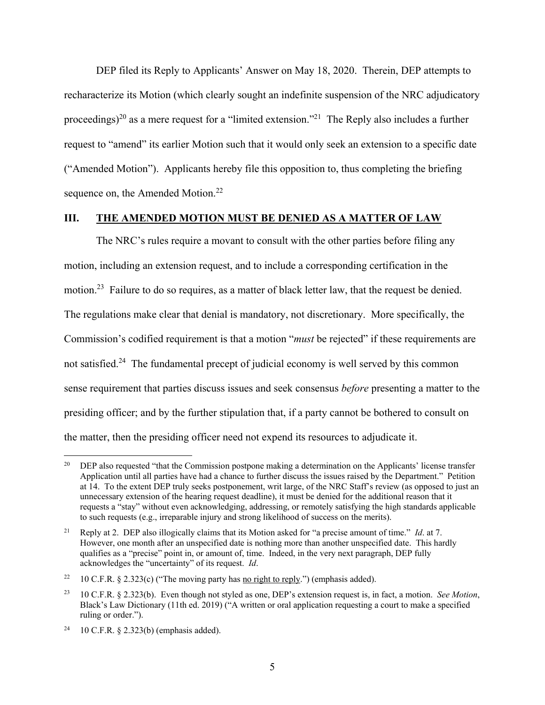DEP filed its Reply to Applicants' Answer on May 18, 2020. Therein, DEP attempts to recharacterize its Motion (which clearly sought an indefinite suspension of the NRC adjudicatory proceedings)<sup>20</sup> as a mere request for a "limited extension."<sup>21</sup> The Reply also includes a further request to "amend" its earlier Motion such that it would only seek an extension to a specific date ("Amended Motion"). Applicants hereby file this opposition to, thus completing the briefing sequence on, the Amended Motion.<sup>22</sup>

## **III. THE AMENDED MOTION MUST BE DENIED AS A MATTER OF LAW**

The NRC's rules require a movant to consult with the other parties before filing any motion, including an extension request, and to include a corresponding certification in the motion.<sup>23</sup> Failure to do so requires, as a matter of black letter law, that the request be denied. The regulations make clear that denial is mandatory, not discretionary. More specifically, the Commission's codified requirement is that a motion "*must* be rejected" if these requirements are not satisfied.<sup>24</sup> The fundamental precept of judicial economy is well served by this common sense requirement that parties discuss issues and seek consensus *before* presenting a matter to the presiding officer; and by the further stipulation that, if a party cannot be bothered to consult on the matter, then the presiding officer need not expend its resources to adjudicate it.

<u>.</u>

<sup>&</sup>lt;sup>20</sup> DEP also requested "that the Commission postpone making a determination on the Applicants' license transfer Application until all parties have had a chance to further discuss the issues raised by the Department." Petition at 14. To the extent DEP truly seeks postponement, writ large, of the NRC Staff's review (as opposed to just an unnecessary extension of the hearing request deadline), it must be denied for the additional reason that it requests a "stay" without even acknowledging, addressing, or remotely satisfying the high standards applicable to such requests (e.g., irreparable injury and strong likelihood of success on the merits).

<sup>21</sup> Reply at 2. DEP also illogically claims that its Motion asked for "a precise amount of time." *Id*. at 7. However, one month after an unspecified date is nothing more than another unspecified date. This hardly qualifies as a "precise" point in, or amount of, time. Indeed, in the very next paragraph, DEP fully acknowledges the "uncertainty" of its request. *Id*.

<sup>&</sup>lt;sup>22</sup> 10 C.F.R. § 2.323(c) ("The moving party has no right to reply.") (emphasis added).

<sup>23 10</sup> C.F.R. § 2.323(b). Even though not styled as one, DEP's extension request is, in fact, a motion. *See Motion*, Black's Law Dictionary (11th ed. 2019) ("A written or oral application requesting a court to make a specified ruling or order.").

<sup>&</sup>lt;sup>24</sup> 10 C.F.R. § 2.323(b) (emphasis added).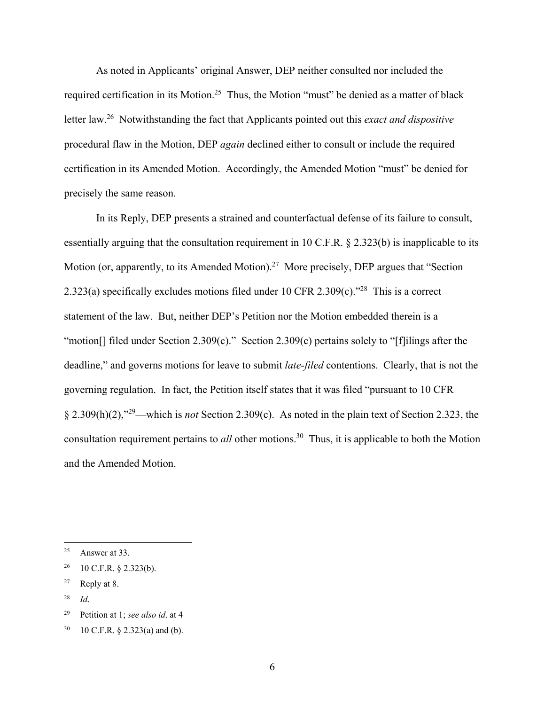As noted in Applicants' original Answer, DEP neither consulted nor included the required certification in its Motion.<sup>25</sup> Thus, the Motion "must" be denied as a matter of black letter law.26 Notwithstanding the fact that Applicants pointed out this *exact and dispositive* procedural flaw in the Motion, DEP *again* declined either to consult or include the required certification in its Amended Motion. Accordingly, the Amended Motion "must" be denied for precisely the same reason.

In its Reply, DEP presents a strained and counterfactual defense of its failure to consult, essentially arguing that the consultation requirement in 10 C.F.R. § 2.323(b) is inapplicable to its Motion (or, apparently, to its Amended Motion).<sup>27</sup> More precisely, DEP argues that "Section 2.323(a) specifically excludes motions filed under 10 CFR 2.309(c).<sup>"28</sup> This is a correct statement of the law. But, neither DEP's Petition nor the Motion embedded therein is a "motion<sup>[]</sup> filed under Section 2.309(c)." Section 2.309(c) pertains solely to "[f]ilings after the deadline," and governs motions for leave to submit *late-filed* contentions. Clearly, that is not the governing regulation. In fact, the Petition itself states that it was filed "pursuant to 10 CFR § 2.309(h)(2),"29—which is *not* Section 2.309(c). As noted in the plain text of Section 2.323, the consultation requirement pertains to *all* other motions.<sup>30</sup> Thus, it is applicable to both the Motion and the Amended Motion.

 $25$  Answer at 33.

 $26$  10 C.F.R. § 2.323(b).

 $27$  Reply at 8.

<sup>28</sup> *Id*.

<sup>29</sup> Petition at 1; *see also id*. at 4

<sup>30 10</sup> C.F.R. § 2.323(a) and (b).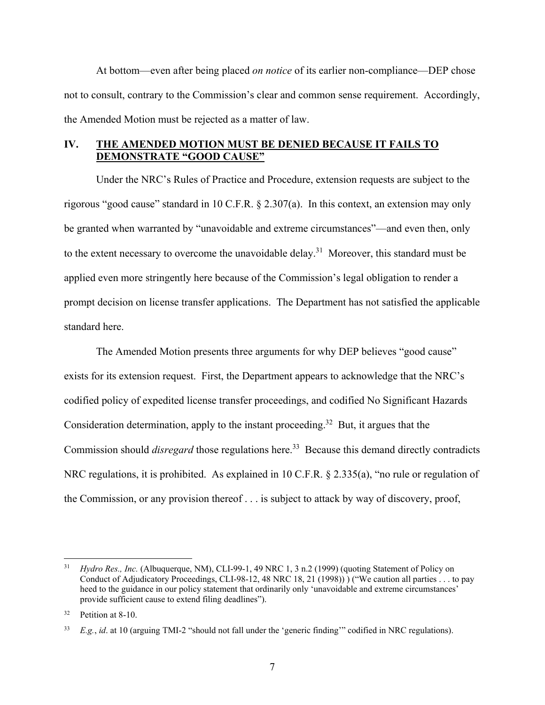At bottom—even after being placed *on notice* of its earlier non-compliance—DEP chose not to consult, contrary to the Commission's clear and common sense requirement. Accordingly, the Amended Motion must be rejected as a matter of law.

# **IV. THE AMENDED MOTION MUST BE DENIED BECAUSE IT FAILS TO DEMONSTRATE "GOOD CAUSE"**

Under the NRC's Rules of Practice and Procedure, extension requests are subject to the rigorous "good cause" standard in 10 C.F.R. § 2.307(a). In this context, an extension may only be granted when warranted by "unavoidable and extreme circumstances"—and even then, only to the extent necessary to overcome the unavoidable delay.<sup>31</sup> Moreover, this standard must be applied even more stringently here because of the Commission's legal obligation to render a prompt decision on license transfer applications. The Department has not satisfied the applicable standard here.

The Amended Motion presents three arguments for why DEP believes "good cause" exists for its extension request. First, the Department appears to acknowledge that the NRC's codified policy of expedited license transfer proceedings, and codified No Significant Hazards Consideration determination, apply to the instant proceeding.<sup>32</sup> But, it argues that the Commission should *disregard* those regulations here.<sup>33</sup> Because this demand directly contradicts NRC regulations, it is prohibited. As explained in 10 C.F.R. § 2.335(a), "no rule or regulation of the Commission, or any provision thereof . . . is subject to attack by way of discovery, proof,

<sup>&</sup>lt;sup>31</sup> *Hydro Res., Inc.* (Albuquerque, NM), CLI-99-1, 49 NRC 1, 3 n.2 (1999) (quoting Statement of Policy on Conduct of Adjudicatory Proceedings, CLI-98-12, 48 NRC 18, 21 (1998)) ) ("We caution all parties . . . to pay heed to the guidance in our policy statement that ordinarily only 'unavoidable and extreme circumstances' provide sufficient cause to extend filing deadlines").

Petition at 8-10.

<sup>33</sup> *E.g.*, *id*. at 10 (arguing TMI-2 "should not fall under the 'generic finding'" codified in NRC regulations).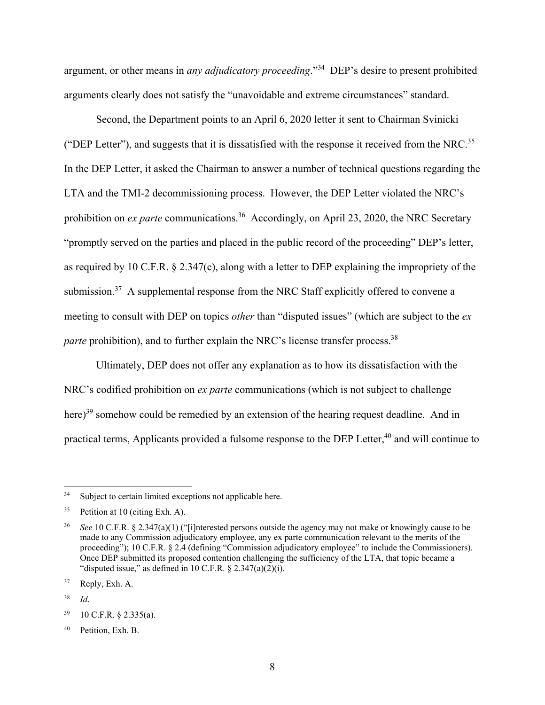argument, or other means in *any adjudicatory proceeding*."34 DEP's desire to present prohibited arguments clearly does not satisfy the "unavoidable and extreme circumstances" standard.

Second, the Department points to an April 6, 2020 letter it sent to Chairman Svinicki ("DEP Letter"), and suggests that it is dissatisfied with the response it received from the NRC.35 In the DEP Letter, it asked the Chairman to answer a number of technical questions regarding the LTA and the TMI-2 decommissioning process. However, the DEP Letter violated the NRC's prohibition on *ex parte* communications.<sup>36</sup> Accordingly, on April 23, 2020, the NRC Secretary "promptly served on the parties and placed in the public record of the proceeding" DEP's letter, as required by 10 C.F.R. § 2.347(c), along with a letter to DEP explaining the impropriety of the submission.<sup>37</sup> A supplemental response from the NRC Staff explicitly offered to convene a meeting to consult with DEP on topics *other* than "disputed issues" (which are subject to the *ex parte* prohibition), and to further explain the NRC's license transfer process.<sup>38</sup>

Ultimately, DEP does not offer any explanation as to how its dissatisfaction with the NRC's codified prohibition on *ex parte* communications (which is not subject to challenge here)<sup>39</sup> somehow could be remedied by an extension of the hearing request deadline. And in practical terms, Applicants provided a fulsome response to the DEP Letter,<sup>40</sup> and will continue to

<sup>&</sup>lt;sup>34</sup> Subject to certain limited exceptions not applicable here.

<sup>&</sup>lt;sup>35</sup> Petition at 10 (citing Exh. A).

<sup>36</sup> *See* 10 C.F.R. § 2.347(a)(1) ("[i]nterested persons outside the agency may not make or knowingly cause to be made to any Commission adjudicatory employee, any ex parte communication relevant to the merits of the proceeding"); 10 C.F.R. § 2.4 (defining "Commission adjudicatory employee" to include the Commissioners). Once DEP submitted its proposed contention challenging the sufficiency of the LTA, that topic became a "disputed issue," as defined in 10 C.F.R.  $\S$  2.347(a)(2)(i).

<sup>37</sup> Reply, Exh. A.

<sup>38</sup> *Id*.

<sup>39 10</sup> C.F.R. § 2.335(a).

<sup>40</sup> Petition, Exh. B.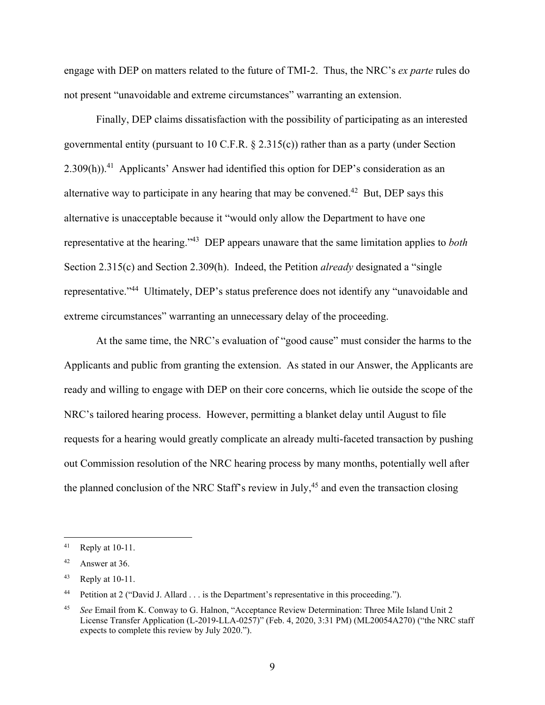engage with DEP on matters related to the future of TMI-2. Thus, the NRC's *ex parte* rules do not present "unavoidable and extreme circumstances" warranting an extension.

Finally, DEP claims dissatisfaction with the possibility of participating as an interested governmental entity (pursuant to 10 C.F.R. § 2.315(c)) rather than as a party (under Section  $2.309(h)$ .<sup>41</sup> Applicants' Answer had identified this option for DEP's consideration as an alternative way to participate in any hearing that may be convened.<sup>42</sup> But, DEP says this alternative is unacceptable because it "would only allow the Department to have one representative at the hearing."43 DEP appears unaware that the same limitation applies to *both* Section 2.315(c) and Section 2.309(h). Indeed, the Petition *already* designated a "single representative."44 Ultimately, DEP's status preference does not identify any "unavoidable and extreme circumstances" warranting an unnecessary delay of the proceeding.

At the same time, the NRC's evaluation of "good cause" must consider the harms to the Applicants and public from granting the extension. As stated in our Answer, the Applicants are ready and willing to engage with DEP on their core concerns, which lie outside the scope of the NRC's tailored hearing process. However, permitting a blanket delay until August to file requests for a hearing would greatly complicate an already multi-faceted transaction by pushing out Commission resolution of the NRC hearing process by many months, potentially well after the planned conclusion of the NRC Staff's review in July,<sup>45</sup> and even the transaction closing

 $41$  Reply at 10-11.

<sup>42</sup> Answer at 36.

<sup>43</sup> Reply at 10-11.

<sup>44</sup> Petition at 2 ("David J. Allard . . . is the Department's representative in this proceeding.").

<sup>45</sup> *See* Email from K. Conway to G. Halnon, "Acceptance Review Determination: Three Mile Island Unit 2 License Transfer Application (L-2019-LLA-0257)" (Feb. 4, 2020, 3:31 PM) (ML20054A270) ("the NRC staff expects to complete this review by July 2020.").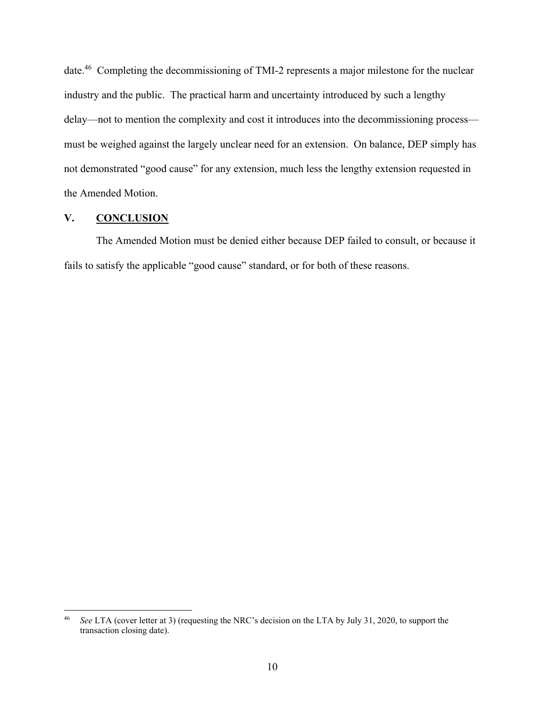date.46 Completing the decommissioning of TMI-2 represents a major milestone for the nuclear industry and the public. The practical harm and uncertainty introduced by such a lengthy delay—not to mention the complexity and cost it introduces into the decommissioning process must be weighed against the largely unclear need for an extension. On balance, DEP simply has not demonstrated "good cause" for any extension, much less the lengthy extension requested in the Amended Motion.

## **V. CONCLUSION**

 $\overline{a}$ 

The Amended Motion must be denied either because DEP failed to consult, or because it fails to satisfy the applicable "good cause" standard, or for both of these reasons.

<sup>46</sup> *See* LTA (cover letter at 3) (requesting the NRC's decision on the LTA by July 31, 2020, to support the transaction closing date).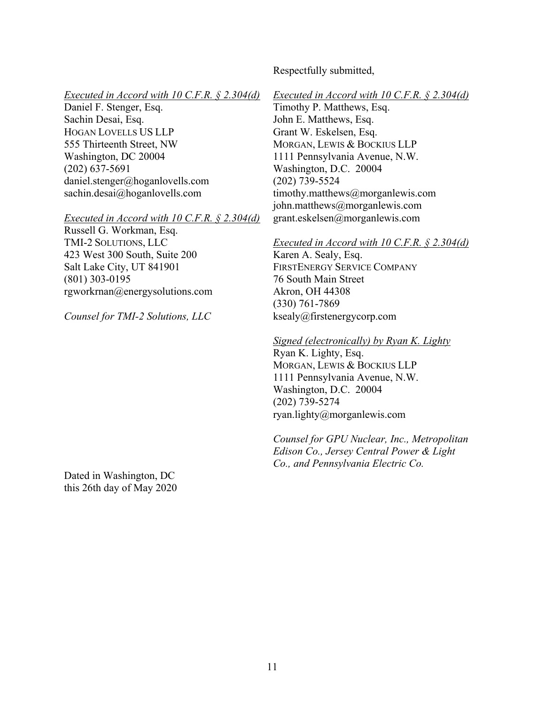# Respectfully submitted,

### *Executed in Accord with 10 C.F.R. § 2.304(d)*

Daniel F. Stenger, Esq. Sachin Desai, Esq. HOGAN LOVELLS US LLP 555 Thirteenth Street, NW Washington, DC 20004 (202) 637-5691 daniel.stenger@hoganlovells.com sachin.desai@hoganlovells.com

#### *Executed in Accord with 10 C.F.R. § 2.304(d)*

Russell G. Workman, Esq. TMI-2 SOLUTIONS, LLC 423 West 300 South, Suite 200 Salt Lake City, UT 841901 (801) 303-0195 rgworkrnan@energysolutions.com

*Counsel for TMI-2 Solutions, LLC*

*Executed in Accord with 10 C.F.R. § 2.304(d)* 

Timothy P. Matthews, Esq. John E. Matthews, Esq. Grant W. Eskelsen, Esq. MORGAN, LEWIS & BOCKIUS LLP 1111 Pennsylvania Avenue, N.W. Washington, D.C. 20004 (202) 739-5524 timothy.matthews@morganlewis.com john.matthews@morganlewis.com grant.eskelsen@morganlewis.com

### *Executed in Accord with 10 C.F.R. § 2.304(d)*

Karen A. Sealy, Esq. FIRSTENERGY SERVICE COMPANY 76 South Main Street Akron, OH 44308 (330) 761-7869 ksealy@firstenergycorp.com

*Signed (electronically) by Ryan K. Lighty* 

Ryan K. Lighty, Esq. MORGAN, LEWIS & BOCKIUS LLP 1111 Pennsylvania Avenue, N.W. Washington, D.C. 20004 (202) 739-5274 ryan.lighty@morganlewis.com

*Counsel for GPU Nuclear, Inc., Metropolitan Edison Co., Jersey Central Power & Light Co., and Pennsylvania Electric Co.*

Dated in Washington, DC this 26th day of May 2020